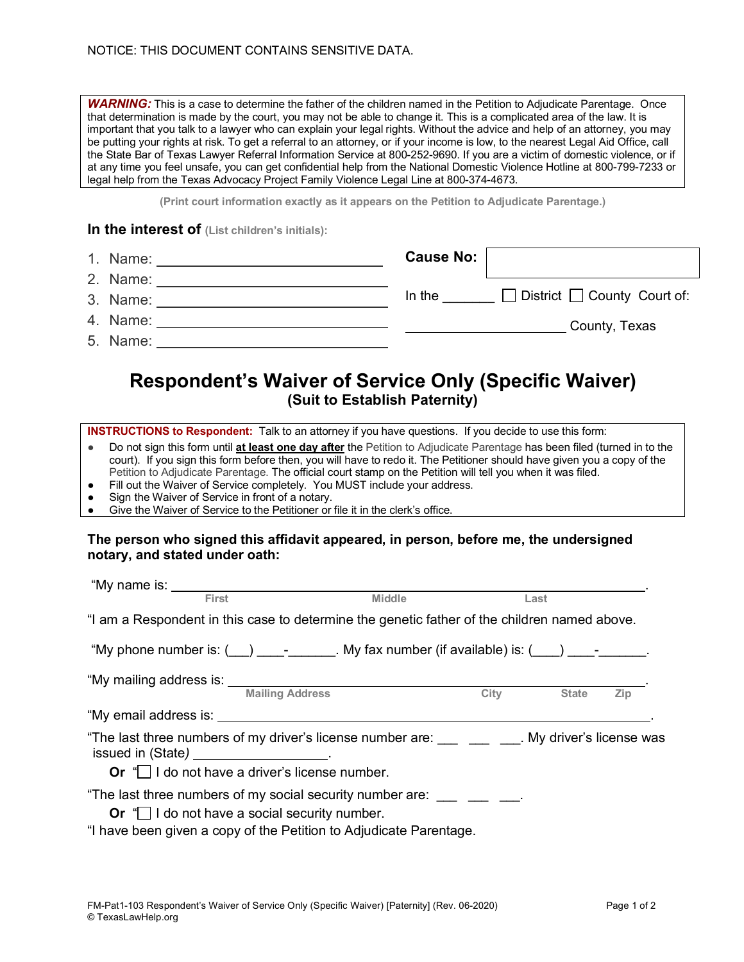*WARNING:* This is a case to determine the father of the children named in the Petition to Adjudicate Parentage. Once that determination is made by the court, you may not be able to change it. This is a complicated area of the law. It is important that you talk to a lawyer who can explain your legal rights. Without the advice and help of an attorney, you may be putting your rights at risk. To get a referral to an attorney, or if your income is low, to the nearest Legal Aid Office, call the State Bar of Texas Lawyer Referral Information Service at 800-252-9690. If you are a victim of domestic violence, or if at any time you feel unsafe, you can get confidential help from the National Domestic Violence Hotline at 800-799-7233 or legal help from the Texas Advocacy Project Family Violence Legal Line at 800-374-4673.

**(Print court information exactly as it appears on the Petition to Adjudicate Parentage.)**

## **In the interest of (List children's initials):**

| 1. Name: | <b>Cause No:</b> |                                         |
|----------|------------------|-----------------------------------------|
| 2. Name: |                  |                                         |
| 3. Name: | In the           | $\Box$ District $\Box$ County Court of: |
| 4. Name: |                  | County, Texas                           |
| 5. Name: |                  |                                         |

# **Respondent's Waiver of Service Only (Specific Waiver) (Suit to Establish Paternity)**

**INSTRUCTIONS to Respondent:** Talk to an attorney if you have questions. If you decide to use this form:

- Do not sign this form until **at least one day after** the Petition to Adjudicate Parentage has been filed (turned in to the court). If you sign this form before then, you will have to redo it. The Petitioner should have given you a copy of the Petition to Adjudicate Parentage. The official court stamp on the Petition will tell you when it was filed.
- Fill out the Waiver of Service completely. You MUST include your address.
- Sign the Waiver of Service in front of a notary.
- Give the Waiver of Service to the Petitioner or file it in the clerk's office.

#### **The person who signed this affidavit appeared, in person, before me, the undersigned notary, and stated under oath:**

| "My name is: ___________                                                                                                      |                                                          |               |             |              |     |
|-------------------------------------------------------------------------------------------------------------------------------|----------------------------------------------------------|---------------|-------------|--------------|-----|
| <b>First</b>                                                                                                                  |                                                          | <b>Middle</b> |             | Last         |     |
| "I am a Respondent in this case to determine the genetic father of the children named above.                                  |                                                          |               |             |              |     |
| "My phone number is: $(\_\_\_)$ _________. My fax number (if available) is: $(\_\_\_)$ _________.                             |                                                          |               |             |              |     |
|                                                                                                                               |                                                          |               |             |              |     |
|                                                                                                                               | <b>Mailing Address</b>                                   |               | <b>City</b> | <b>State</b> | Zip |
|                                                                                                                               |                                                          |               |             |              |     |
| "The last three numbers of my driver's license number are: My driver's license was<br>issued in (State) ____________________. |                                                          |               |             |              |     |
|                                                                                                                               | Or $\mathbb{C}$ I do not have a driver's license number. |               |             |              |     |
| "The last three numbers of my social security number are: ____ ___ ___.                                                       |                                                          |               |             |              |     |
|                                                                                                                               | <b>Or</b> "I do not have a social security number.       |               |             |              |     |
| "I have been given a copy of the Petition to Adjudicate Parentage.                                                            |                                                          |               |             |              |     |